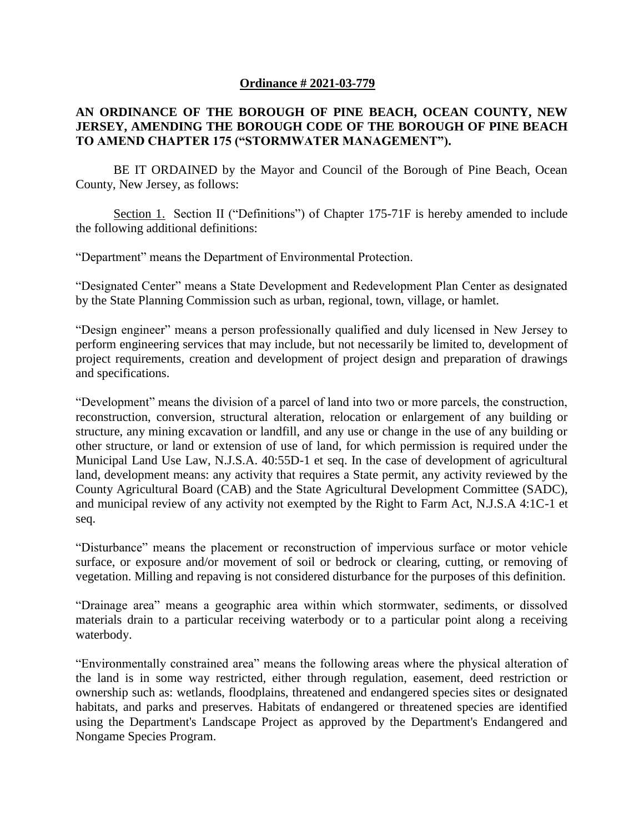## **Ordinance # 2021-03-779**

## **AN ORDINANCE OF THE BOROUGH OF PINE BEACH, OCEAN COUNTY, NEW JERSEY, AMENDING THE BOROUGH CODE OF THE BOROUGH OF PINE BEACH TO AMEND CHAPTER 175 ("STORMWATER MANAGEMENT").**

BE IT ORDAINED by the Mayor and Council of the Borough of Pine Beach, Ocean County, New Jersey, as follows:

Section 1. Section II ("Definitions") of Chapter 175-71F is hereby amended to include the following additional definitions:

"Department" means the Department of Environmental Protection.

"Designated Center" means a State Development and Redevelopment Plan Center as designated by the State Planning Commission such as urban, regional, town, village, or hamlet.

"Design engineer" means a person professionally qualified and duly licensed in New Jersey to perform engineering services that may include, but not necessarily be limited to, development of project requirements, creation and development of project design and preparation of drawings and specifications.

"Development" means the division of a parcel of land into two or more parcels, the construction, reconstruction, conversion, structural alteration, relocation or enlargement of any building or structure, any mining excavation or landfill, and any use or change in the use of any building or other structure, or land or extension of use of land, for which permission is required under the Municipal Land Use Law, N.J.S.A. 40:55D-1 et seq. In the case of development of agricultural land, development means: any activity that requires a State permit, any activity reviewed by the County Agricultural Board (CAB) and the State Agricultural Development Committee (SADC), and municipal review of any activity not exempted by the Right to Farm Act, N.J.S.A 4:1C-1 et seq.

"Disturbance" means the placement or reconstruction of impervious surface or motor vehicle surface, or exposure and/or movement of soil or bedrock or clearing, cutting, or removing of vegetation. Milling and repaving is not considered disturbance for the purposes of this definition.

"Drainage area" means a geographic area within which stormwater, sediments, or dissolved materials drain to a particular receiving waterbody or to a particular point along a receiving waterbody.

"Environmentally constrained area" means the following areas where the physical alteration of the land is in some way restricted, either through regulation, easement, deed restriction or ownership such as: wetlands, floodplains, threatened and endangered species sites or designated habitats, and parks and preserves. Habitats of endangered or threatened species are identified using the Department's Landscape Project as approved by the Department's Endangered and Nongame Species Program.